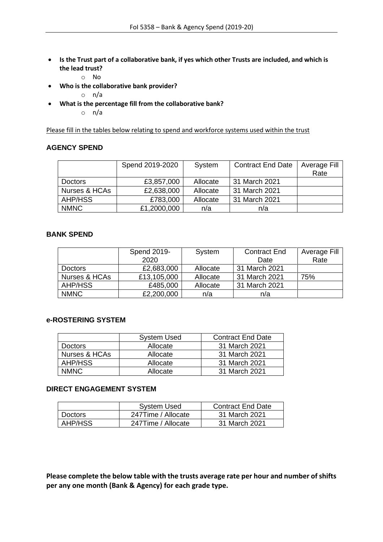- **Is the Trust part of a collaborative bank, if yes which other Trusts are included, and which is the lead trust?**
	- o No
- **Who is the collaborative bank provider?**
	- o n/a
- **What is the percentage fill from the collaborative bank?**
	- o n/a

Please fill in the tables below relating to spend and workforce systems used within the trust

## **AGENCY SPEND**

|                | Spend 2019-2020 | System   | <b>Contract End Date</b> | Average Fill<br>Rate |
|----------------|-----------------|----------|--------------------------|----------------------|
| <b>Doctors</b> | £3,857,000      | Allocate | 31 March 2021            |                      |
| Nurses & HCAs  | £2,638,000      | Allocate | 31 March 2021            |                      |
| AHP/HSS        | £783,000        | Allocate | 31 March 2021            |                      |
| <b>NMNC</b>    | £1,2000,000     | n/a      | n/a                      |                      |

## **BANK SPEND**

|                | Spend 2019- | System   | <b>Contract End</b> | Average Fill |
|----------------|-------------|----------|---------------------|--------------|
|                | 2020        |          | Date                | Rate         |
| <b>Doctors</b> | £2,683,000  | Allocate | 31 March 2021       |              |
| Nurses & HCAs  | £13,105,000 | Allocate | 31 March 2021       | 75%          |
| AHP/HSS        | £485,000    | Allocate | 31 March 2021       |              |
| <b>NMNC</b>    | £2,200,000  | n/a      | n/a                 |              |

## **e-ROSTERING SYSTEM**

|                | <b>System Used</b> | <b>Contract End Date</b> |
|----------------|--------------------|--------------------------|
| <b>Doctors</b> | Allocate           | 31 March 2021            |
| Nurses & HCAs  | Allocate           | 31 March 2021            |
| AHP/HSS        | Allocate           | 31 March 2021            |
| <b>NMNC</b>    | Allocate           | 31 March 2021            |

## **DIRECT ENGAGEMENT SYSTEM**

|         | <b>System Used</b> | <b>Contract End Date</b> |
|---------|--------------------|--------------------------|
| Doctors | 247Time / Allocate | 31 March 2021            |
| AHP/HSS | 247Time / Allocate | 31 March 2021            |

**Please complete the below table with the trusts average rate per hour and number of shifts per any one month (Bank & Agency) for each grade type.**